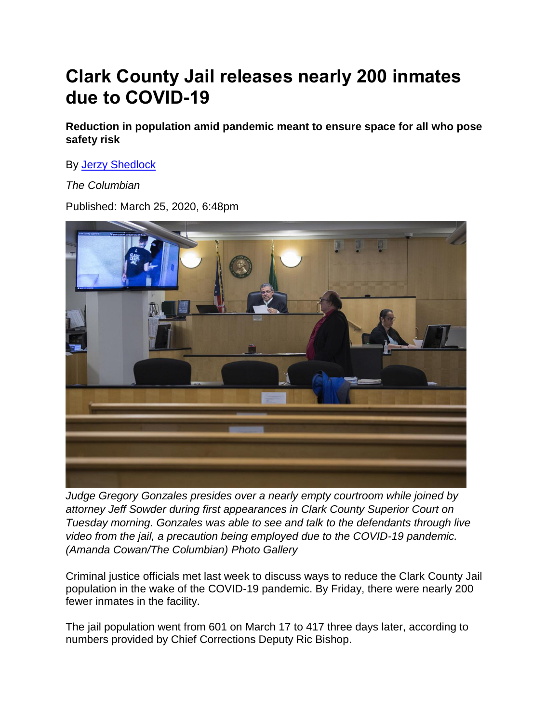## **Clark County Jail releases nearly 200 inmates due to COVID-19**

**Reduction in population amid pandemic meant to ensure space for all who pose safety risk**

By [Jerzy Shedlock](https://www.columbian.com/author/jshedlock/)

*The Columbian* 

Published: March 25, 2020, 6:48pm



*Judge Gregory Gonzales presides over a nearly empty courtroom while joined by attorney Jeff Sowder during first appearances in Clark County Superior Court on Tuesday morning. Gonzales was able to see and talk to the defendants through live video from the jail, a precaution being employed due to the COVID-19 pandemic. (Amanda Cowan/The Columbian) Photo Gallery*

Criminal justice officials met last week to discuss ways to reduce the Clark County Jail population in the wake of the COVID-19 pandemic. By Friday, there were nearly 200 fewer inmates in the facility.

The jail population went from 601 on March 17 to 417 three days later, according to numbers provided by Chief Corrections Deputy Ric Bishop.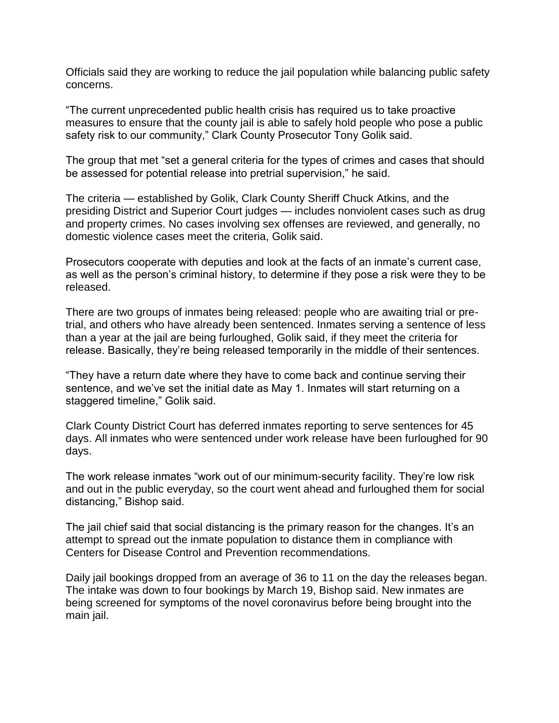Officials said they are working to reduce the jail population while balancing public safety concerns.

"The current unprecedented public health crisis has required us to take proactive measures to ensure that the county jail is able to safely hold people who pose a public safety risk to our community," Clark County Prosecutor Tony Golik said.

The group that met "set a general criteria for the types of crimes and cases that should be assessed for potential release into pretrial supervision," he said.

The criteria — established by Golik, Clark County Sheriff Chuck Atkins, and the presiding District and Superior Court judges — includes nonviolent cases such as drug and property crimes. No cases involving sex offenses are reviewed, and generally, no domestic violence cases meet the criteria, Golik said.

Prosecutors cooperate with deputies and look at the facts of an inmate's current case, as well as the person's criminal history, to determine if they pose a risk were they to be released.

There are two groups of inmates being released: people who are awaiting trial or pretrial, and others who have already been sentenced. Inmates serving a sentence of less than a year at the jail are being furloughed, Golik said, if they meet the criteria for release. Basically, they're being released temporarily in the middle of their sentences.

"They have a return date where they have to come back and continue serving their sentence, and we've set the initial date as May 1. Inmates will start returning on a staggered timeline," Golik said.

Clark County District Court has deferred inmates reporting to serve sentences for 45 days. All inmates who were sentenced under work release have been furloughed for 90 days.

The work release inmates "work out of our minimum-security facility. They're low risk and out in the public everyday, so the court went ahead and furloughed them for social distancing," Bishop said.

The jail chief said that social distancing is the primary reason for the changes. It's an attempt to spread out the inmate population to distance them in compliance with Centers for Disease Control and Prevention recommendations.

Daily jail bookings dropped from an average of 36 to 11 on the day the releases began. The intake was down to four bookings by March 19, Bishop said. New inmates are being screened for symptoms of the novel coronavirus before being brought into the main jail.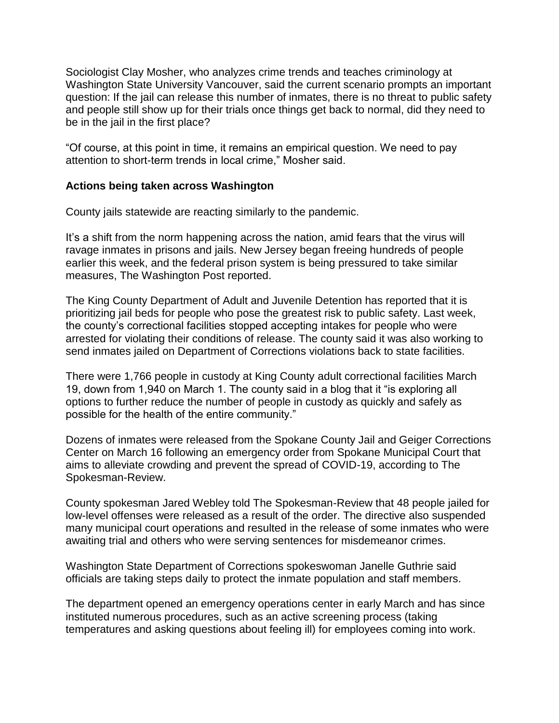Sociologist Clay Mosher, who analyzes crime trends and teaches criminology at Washington State University Vancouver, said the current scenario prompts an important question: If the jail can release this number of inmates, there is no threat to public safety and people still show up for their trials once things get back to normal, did they need to be in the jail in the first place?

"Of course, at this point in time, it remains an empirical question. We need to pay attention to short-term trends in local crime," Mosher said.

## **Actions being taken across Washington**

County jails statewide are reacting similarly to the pandemic.

It's a shift from the norm happening across the nation, amid fears that the virus will ravage inmates in prisons and jails. New Jersey began freeing hundreds of people earlier this week, and the federal prison system is being pressured to take similar measures, The Washington Post reported.

The King County Department of Adult and Juvenile Detention has reported that it is prioritizing jail beds for people who pose the greatest risk to public safety. Last week, the county's correctional facilities stopped accepting intakes for people who were arrested for violating their conditions of release. The county said it was also working to send inmates jailed on Department of Corrections violations back to state facilities.

There were 1,766 people in custody at King County adult correctional facilities March 19, down from 1,940 on March 1. The county said in a blog that it "is exploring all options to further reduce the number of people in custody as quickly and safely as possible for the health of the entire community."

Dozens of inmates were released from the Spokane County Jail and Geiger Corrections Center on March 16 following an emergency order from Spokane Municipal Court that aims to alleviate crowding and prevent the spread of COVID-19, according to The Spokesman-Review.

County spokesman Jared Webley told The Spokesman-Review that 48 people jailed for low-level offenses were released as a result of the order. The directive also suspended many municipal court operations and resulted in the release of some inmates who were awaiting trial and others who were serving sentences for misdemeanor crimes.

Washington State Department of Corrections spokeswoman Janelle Guthrie said officials are taking steps daily to protect the inmate population and staff members.

The department opened an emergency operations center in early March and has since instituted numerous procedures, such as an active screening process (taking temperatures and asking questions about feeling ill) for employees coming into work.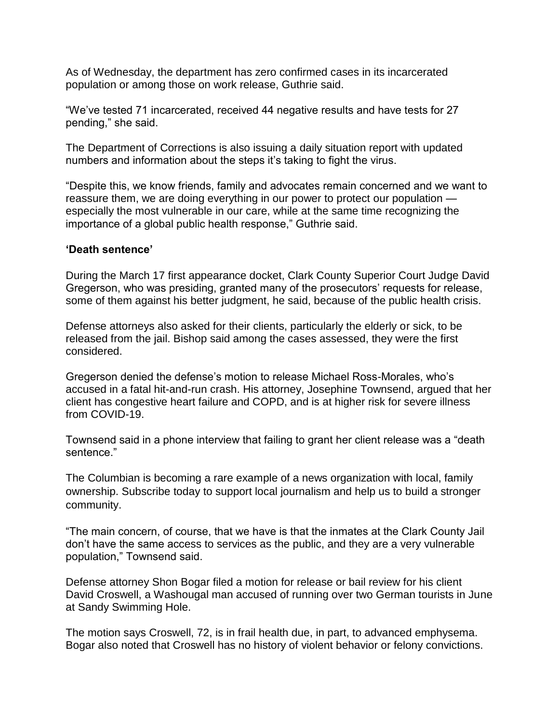As of Wednesday, the department has zero confirmed cases in its incarcerated population or among those on work release, Guthrie said.

"We've tested 71 incarcerated, received 44 negative results and have tests for 27 pending," she said.

The Department of Corrections is also issuing a daily situation report with updated numbers and information about the steps it's taking to fight the virus.

"Despite this, we know friends, family and advocates remain concerned and we want to reassure them, we are doing everything in our power to protect our population especially the most vulnerable in our care, while at the same time recognizing the importance of a global public health response," Guthrie said.

## **'Death sentence'**

During the March 17 first appearance docket, Clark County Superior Court Judge David Gregerson, who was presiding, granted many of the prosecutors' requests for release, some of them against his better judgment, he said, because of the public health crisis.

Defense attorneys also asked for their clients, particularly the elderly or sick, to be released from the jail. Bishop said among the cases assessed, they were the first considered.

Gregerson denied the defense's motion to release Michael Ross-Morales, who's accused in a fatal hit-and-run crash. His attorney, Josephine Townsend, argued that her client has congestive heart failure and COPD, and is at higher risk for severe illness from COVID-19.

Townsend said in a phone interview that failing to grant her client release was a "death sentence."

The Columbian is becoming a rare example of a news organization with local, family ownership. Subscribe today to support local journalism and help us to build a stronger community.

"The main concern, of course, that we have is that the inmates at the Clark County Jail don't have the same access to services as the public, and they are a very vulnerable population," Townsend said.

Defense attorney Shon Bogar filed a motion for release or bail review for his client David Croswell, a Washougal man accused of running over two German tourists in June at Sandy Swimming Hole.

The motion says Croswell, 72, is in frail health due, in part, to advanced emphysema. Bogar also noted that Croswell has no history of violent behavior or felony convictions.